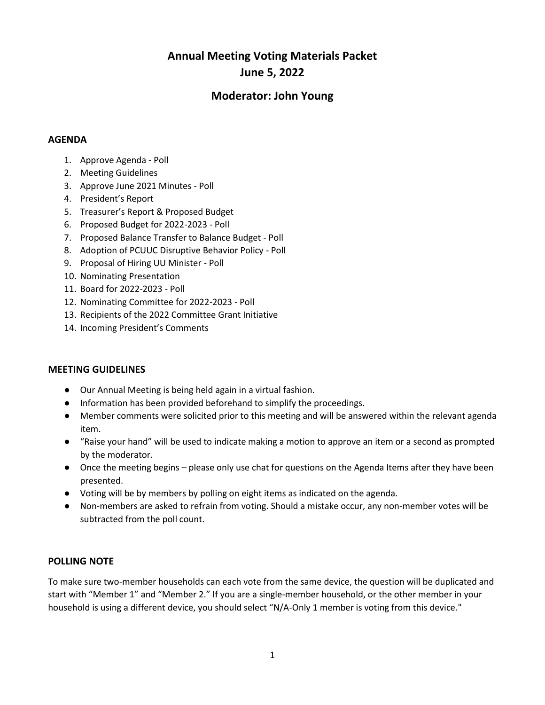# **Annual Meeting Voting Materials Packet June 5, 2022**

# **Moderator: John Young**

# **AGENDA**

- 1. Approve Agenda Poll
- 2. Meeting Guidelines
- 3. Approve June 2021 Minutes Poll
- 4. President's Report
- 5. Treasurer's Report & Proposed Budget
- 6. Proposed Budget for 2022-2023 Poll
- 7. Proposed Balance Transfer to Balance Budget Poll
- 8. Adoption of PCUUC Disruptive Behavior Policy Poll
- 9. Proposal of Hiring UU Minister Poll
- 10. Nominating Presentation
- 11. Board for 2022-2023 Poll
- 12. Nominating Committee for 2022-2023 Poll
- 13. Recipients of the 2022 Committee Grant Initiative
- 14. Incoming President's Comments

# **MEETING GUIDELINES**

- Our Annual Meeting is being held again in a virtual fashion.
- Information has been provided beforehand to simplify the proceedings.
- Member comments were solicited prior to this meeting and will be answered within the relevant agenda item.
- "Raise your hand" will be used to indicate making a motion to approve an item or a second as prompted by the moderator.
- Once the meeting begins please only use chat for questions on the Agenda Items after they have been presented.
- Voting will be by members by polling on eight items as indicated on the agenda.
- Non-members are asked to refrain from voting. Should a mistake occur, any non-member votes will be subtracted from the poll count.

# **POLLING NOTE**

To make sure two-member households can each vote from the same device, the question will be duplicated and start with "Member 1" and "Member 2." If you are a single-member household, or the other member in your household is using a different device, you should select "N/A-Only 1 member is voting from this device."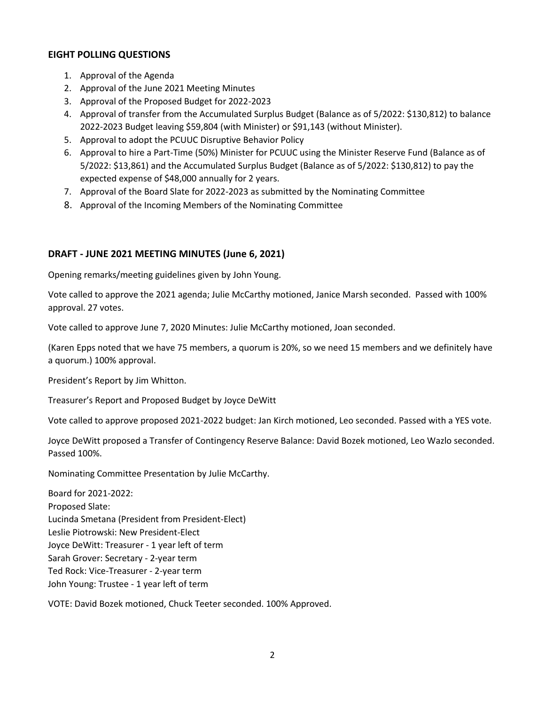# **EIGHT POLLING QUESTIONS**

- 1. Approval of the Agenda
- 2. Approval of the June 2021 Meeting Minutes
- 3. Approval of the Proposed Budget for 2022-2023
- 4. Approval of transfer from the Accumulated Surplus Budget (Balance as of 5/2022: \$130,812) to balance 2022-2023 Budget leaving \$59,804 (with Minister) or \$91,143 (without Minister).
- 5. Approval to adopt the PCUUC Disruptive Behavior Policy
- 6. Approval to hire a Part-Time (50%) Minister for PCUUC using the Minister Reserve Fund (Balance as of 5/2022: \$13,861) and the Accumulated Surplus Budget (Balance as of 5/2022: \$130,812) to pay the expected expense of \$48,000 annually for 2 years.
- 7. Approval of the Board Slate for 2022-2023 as submitted by the Nominating Committee
- 8. Approval of the Incoming Members of the Nominating Committee

# **DRAFT - JUNE 2021 MEETING MINUTES (June 6, 2021)**

Opening remarks/meeting guidelines given by John Young.

Vote called to approve the 2021 agenda; Julie McCarthy motioned, Janice Marsh seconded. Passed with 100% approval. 27 votes.

Vote called to approve June 7, 2020 Minutes: Julie McCarthy motioned, Joan seconded.

(Karen Epps noted that we have 75 members, a quorum is 20%, so we need 15 members and we definitely have a quorum.) 100% approval.

President's Report by Jim Whitton.

Treasurer's Report and Proposed Budget by Joyce DeWitt

Vote called to approve proposed 2021-2022 budget: Jan Kirch motioned, Leo seconded. Passed with a YES vote.

Joyce DeWitt proposed a Transfer of Contingency Reserve Balance: David Bozek motioned, Leo Wazlo seconded. Passed 100%.

Nominating Committee Presentation by Julie McCarthy.

Board for 2021-2022: Proposed Slate: Lucinda Smetana (President from President-Elect) Leslie Piotrowski: New President-Elect Joyce DeWitt: Treasurer - 1 year left of term Sarah Grover: Secretary - 2-year term Ted Rock: Vice-Treasurer - 2-year term John Young: Trustee - 1 year left of term

VOTE: David Bozek motioned, Chuck Teeter seconded. 100% Approved.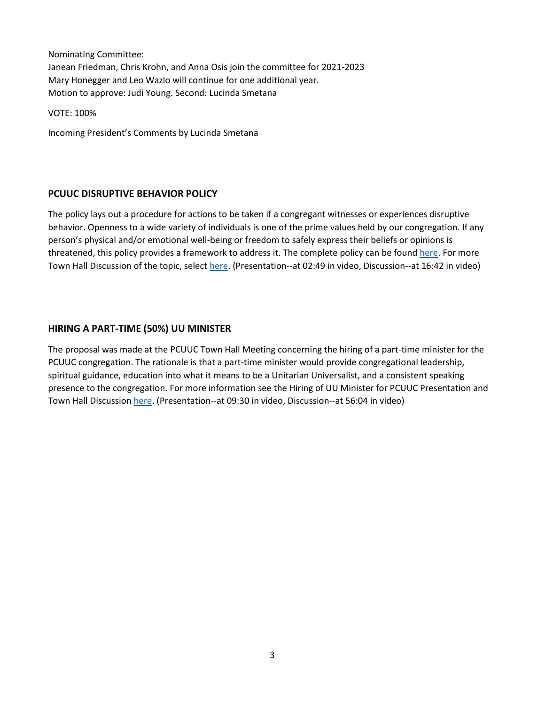Nominating Committee: Janean Friedman, Chris Krohn, and Anna Osis join the committee for 2021-2023 Mary Honegger and Leo Wazlo will continue for one additional year. Motion to approve: Judi Young. Second: Lucinda Smetana

VOTE: 100%

Incoming President's Comments by Lucinda Smetana

#### **PCUUC DISRUPTIVE BEHAVIOR POLICY**

The policy lays out a procedure for actions to be taken if a congregant witnesses or experiences disruptive behavior. Openness to a wide variety of individuals is one of the prime values held by our congregation. If any person's physical and/or emotional well-being or freedom to safely express their beliefs or opinions is threatened, this policy provides a framework to address it. The complete policy can be foun[d here.](https://prairiecircleuuc.us16.list-manage.com/track/click?u=c5dd5d09ddb01921a534890fa&id=c5c4920069&e=147a299679) For more Town Hall Discussion of the topic, selec[t here.](https://prairiecircleuuc.us16.list-manage.com/track/click?u=c5dd5d09ddb01921a534890fa&id=27cec02f11&e=147a299679) (Presentation--at 02:49 in video, Discussion--at 16:42 in video)

#### **HIRING A PART-TIME (50%) UU MINISTER**

The proposal was made at the PCUUC Town Hall Meeting concerning the hiring of a part-time minister for the PCUUC congregation. The rationale is that a part-time minister would provide congregational leadership, spiritual guidance, education into what it means to be a Unitarian Universalist, and a consistent speaking presence to the congregation. For more information see the Hiring of UU Minister for PCUUC Presentation and Town Hall Discussion [here.](https://prairiecircleuuc.us16.list-manage.com/track/click?u=c5dd5d09ddb01921a534890fa&id=27cec02f11&e=147a299679) (Presentation--at 09:30 in video, Discussion--at 56:04 in video)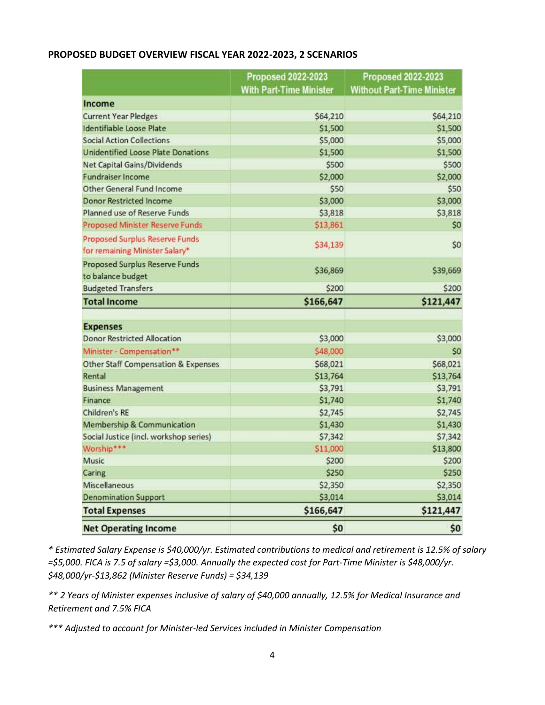#### **PROPOSED BUDGET OVERVIEW FISCAL YEAR 2022-2023, 2 SCENARIOS**

|                                                                         | <b>Proposed 2022-2023</b><br><b>With Part-Time Minister</b> | <b>Proposed 2022-2023</b><br><b>Without Part-Time Minister</b> |
|-------------------------------------------------------------------------|-------------------------------------------------------------|----------------------------------------------------------------|
| Income                                                                  |                                                             |                                                                |
| <b>Current Year Pledges</b>                                             | \$64,210                                                    | \$64,210                                                       |
| Identifiable Loose Plate                                                | \$1,500                                                     | \$1,500                                                        |
| <b>Social Action Collections</b>                                        | \$5,000                                                     | \$5,000                                                        |
| Unidentified Loose Plate Donations                                      | \$1,500                                                     | \$1,500                                                        |
| <b>Net Capital Gains/Dividends</b>                                      | \$500                                                       | \$500                                                          |
| <b>Fundraiser Income</b>                                                | \$2,000                                                     | \$2,000                                                        |
| Other General Fund Income                                               | \$50                                                        | \$50                                                           |
| <b>Donor Restricted Income</b>                                          | \$3,000                                                     | \$3,000                                                        |
| Planned use of Reserve Funds                                            | \$3,818                                                     | \$3,818                                                        |
| <b>Proposed Minister Reserve Funds</b>                                  | \$13,861                                                    | \$0                                                            |
| <b>Proposed Surplus Reserve Funds</b><br>for remaining Minister Salary* | \$34,139                                                    | \$0                                                            |
| Proposed Surplus Reserve Funds<br>to balance budget                     | \$36,869                                                    | \$39,669                                                       |
| <b>Budgeted Transfers</b>                                               | \$200                                                       | \$200                                                          |
| <b>Total Income</b>                                                     | \$166,647                                                   | \$121,447                                                      |
|                                                                         |                                                             |                                                                |
| <b>Expenses</b>                                                         |                                                             |                                                                |
| <b>Donor Restricted Allocation</b>                                      | \$3,000                                                     | \$3,000                                                        |
| Minister - Compensation**                                               | \$48,000                                                    | \$0                                                            |
| <b>Other Staff Compensation &amp; Expenses</b>                          | \$68,021                                                    | \$68,021                                                       |
| Rental                                                                  | \$13,764                                                    | \$13,764                                                       |
| <b>Business Management</b>                                              | \$3,791                                                     | \$3,791                                                        |
| Finance                                                                 | \$1,740                                                     | \$1,740                                                        |
| Children's RE                                                           | \$2,745                                                     | \$2,745                                                        |
| Membership & Communication                                              | \$1,430                                                     | \$1,430                                                        |
| Social Justice (incl. workshop series)                                  | \$7,342                                                     | \$7,342                                                        |
| Worship***                                                              | \$11,000                                                    | \$13,800                                                       |
| Music                                                                   | \$200                                                       | \$200                                                          |
| Caring                                                                  | \$250                                                       | \$250                                                          |
| Miscellaneous                                                           | \$2,350                                                     | \$2,350                                                        |
| <b>Denomination Support</b>                                             | \$3,014                                                     | \$3,014                                                        |
| <b>Total Expenses</b>                                                   | \$166,647                                                   | \$121,447                                                      |
| <b>Net Operating Income</b>                                             | \$0                                                         | \$0                                                            |

*\* Estimated Salary Expense is \$40,000/yr. Estimated contributions to medical and retirement is 12.5% of salary =\$5,000. FICA is 7.5 of salary =\$3,000. Annually the expected cost for Part-Time Minister is \$48,000/yr. \$48,000/yr-\$13,862 (Minister Reserve Funds) = \$34,139*

*\*\* 2 Years of Minister expenses inclusive of salary of \$40,000 annually, 12.5% for Medical Insurance and Retirement and 7.5% FICA*

*\*\*\* Adjusted to account for Minister-led Services included in Minister Compensation*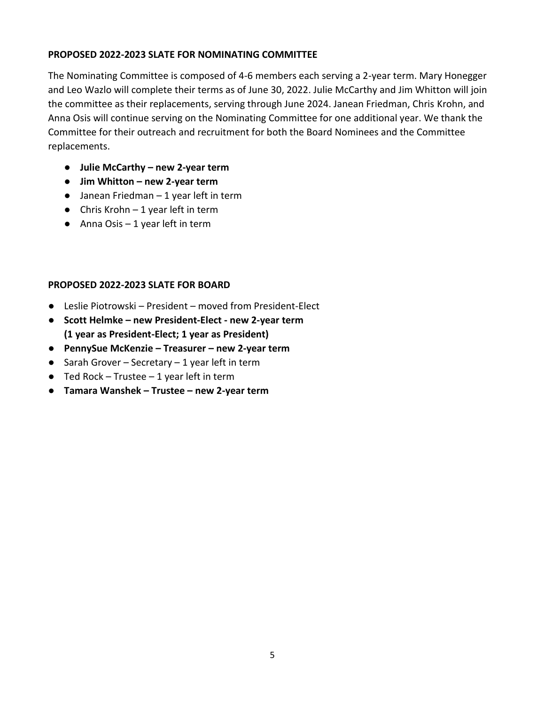# **PROPOSED 2022-2023 SLATE FOR NOMINATING COMMITTEE**

The Nominating Committee is composed of 4-6 members each serving a 2-year term. Mary Honegger and Leo Wazlo will complete their terms as of June 30, 2022. Julie McCarthy and Jim Whitton will join the committee as their replacements, serving through June 2024. Janean Friedman, Chris Krohn, and Anna Osis will continue serving on the Nominating Committee for one additional year. We thank the Committee for their outreach and recruitment for both the Board Nominees and the Committee replacements.

- **Julie McCarthy – new 2-year term**
- **Jim Whitton – new 2-year term**
- $\bullet$  Janean Friedman 1 year left in term
- Chris Krohn  $-1$  year left in term
- $\bullet$  Anna Osis 1 year left in term

# **PROPOSED 2022-2023 SLATE FOR BOARD**

- Leslie Piotrowski President moved from President-Elect
- **Scott Helmke – new President-Elect - new 2-year term (1 year as President-Elect; 1 year as President)**
- **PennySue McKenzie – Treasurer – new 2-year term**
- $\bullet$  Sarah Grover Secretary 1 year left in term
- $\bullet$  Ted Rock Trustee 1 year left in term
- **Tamara Wanshek – Trustee – new 2-year term**